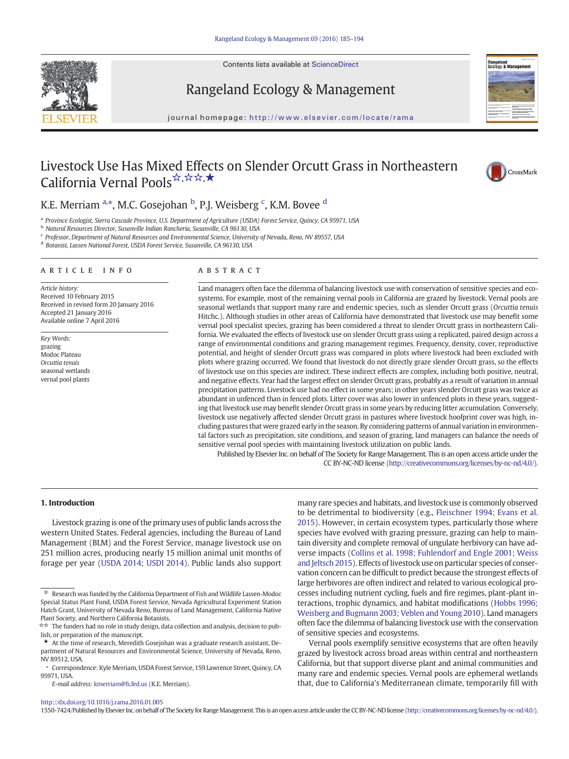Contents lists available at ScienceDirect





# Rangeland Ecology & Management

journal homepage: http://www.elsevier.com/locate/rama

# Livestock Use Has Mixed Effects on Slender Orcutt Grass in Northeastern California Vernal Pools☆,☆☆,★



## K.E. Merriam <sup>a,\*</sup>, M.C. Gosejohan <sup>b</sup>, P.J. Weisberg <sup>c</sup>, K.M. Bovee <sup>d</sup>

<sup>a</sup> Province Ecologist, Sierra Cascade Province, U.S. Department of Agriculture (USDA) Forest Service, Quincy, CA 95971, USA

<sup>b</sup> Natural Resources Director, Susanville Indian Rancheria, Susanville, CA 96130, USA

 $c$  Professor, Department of Natural Resources and Environmental Science, University of Nevada, Reno, NV 89557, USA

<sup>d</sup> Botanist, Lassen National Forest, USDA Forest Service, Susanville, CA 96130, USA

#### article info abstract

Article history: Received 10 February 2015 Received in revised form 20 January 2016 Accepted 21 January 2016 Available online 7 April 2016

Key Words: grazing Modoc Plateau Orcuttia tenuis seasonal wetlands vernal pool plants

Land managers often face the dilemma of balancing livestock use with conservation of sensitive species and ecosystems. For example, most of the remaining vernal pools in California are grazed by livestock. Vernal pools are seasonal wetlands that support many rare and endemic species, such as slender Orcutt grass (Orcuttia tenuis Hitchc.). Although studies in other areas of California have demonstrated that livestock use may benefit some vernal pool specialist species, grazing has been considered a threat to slender Orcutt grass in northeastern California. We evaluated the effects of livestock use on slender Orcutt grass using a replicated, paired design across a range of environmental conditions and grazing management regimes. Frequency, density, cover, reproductive potential, and height of slender Orcutt grass was compared in plots where livestock had been excluded with plots where grazing occurred. We found that livestock do not directly graze slender Orcutt grass, so the effects of livestock use on this species are indirect. These indirect effects are complex, including both positive, neutral, and negative effects. Year had the largest effect on slender Orcutt grass, probably as a result of variation in annual precipitation patterns. Livestock use had no effect in some years; in other years slender Orcutt grass was twice as abundant in unfenced than in fenced plots. Litter cover was also lower in unfenced plots in these years, suggesting that livestock use may benefit slender Orcutt grass in some years by reducing litter accumulation. Conversely, livestock use negatively affected slender Orcutt grass in pastures where livestock hoofprint cover was high, including pastures that were grazed early in the season. By considering patterns of annual variation in environmental factors such as precipitation, site conditions, and season of grazing, land managers can balance the needs of sensitive vernal pool species with maintaining livestock utilization on public lands.

Published by Elsevier Inc. on behalf of The Society for Range Management. This is an open access article under the CC BY-NC-ND license (http://creativecommons.org/licenses/by-nc-nd/4.0/).

#### 1. Introduction

Livestock grazing is one of the primary uses of public lands across the western United States. Federal agencies, including the Bureau of Land Management (BLM) and the Forest Service, manage livestock use on 251 million acres, producing nearly 15 million animal unit months of forage per year ([USDA 2014; USDI 2014](#page-9-0)). Public lands also support

E-mail address: [kmerriam@fs.fed.us](mailto:kmerriam@fs.fed.us) (K.E. Merriam).

many rare species and habitats, and livestock use is commonly observed to be detrimental to biodiversity (e.g., [Fleischner 1994; Evans et al.](#page-8-0) [2015\)](#page-8-0). However, in certain ecosystem types, particularly those where species have evolved with grazing pressure, grazing can help to maintain diversity and complete removal of ungulate herbivory can have adverse impacts [\(Collins et al. 1998; Fuhlendorf and Engle 2001; Weiss](#page-8-0) [and Jeltsch 2015\)](#page-8-0). Effects of livestock use on particular species of conservation concern can be difficult to predict because the strongest effects of large herbivores are often indirect and related to various ecological processes including nutrient cycling, fuels and fire regimes, plant-plant interactions, trophic dynamics, and habitat modifications ([Hobbs 1996;](#page-8-0) [Weisberg and Bugmann 2003; Veblen and Young 2010\)](#page-8-0). Land managers often face the dilemma of balancing livestock use with the conservation of sensitive species and ecosystems.

Vernal pools exemplify sensitive ecosystems that are often heavily grazed by livestock across broad areas within central and northeastern California, but that support diverse plant and animal communities and many rare and endemic species. Vernal pools are ephemeral wetlands that, due to California's Mediterranean climate, temporarily fill with

#### <http://dx.doi.org/10.1016/j.rama.2016.01.005>

1550-7424/Published by Elsevier Inc. on behalf of The Society for RangeManagement. This is an open access article under the CC BY-NC-ND license (http://creativecommons.org/licenses/by-nc-nd/4.0/).

<sup>☆</sup> Research was funded by the California Department of Fish and Wildlife Lassen-Modoc Special Status Plant Fund, USDA Forest Service, Nevada Agricultural Experiment Station Hatch Grant, University of Nevada Reno, Bureau of Land Management, California Native Plant Society, and Northern California Botanists.

<sup>☆☆</sup> The funders had no role in study design, data collection and analysis, decision to publish, or preparation of the manuscript.

 $\star$  At the time of research, Meredith Gosejohan was a graduate research assistant, Department of Natural Resources and Environmental Science, University of Nevada, Reno, NV 89512, USA.

<sup>⁎</sup> Correspondence: Kyle Merriam, USDA Forest Service, 159 Lawrence Street, Quincy, CA 95971, USA.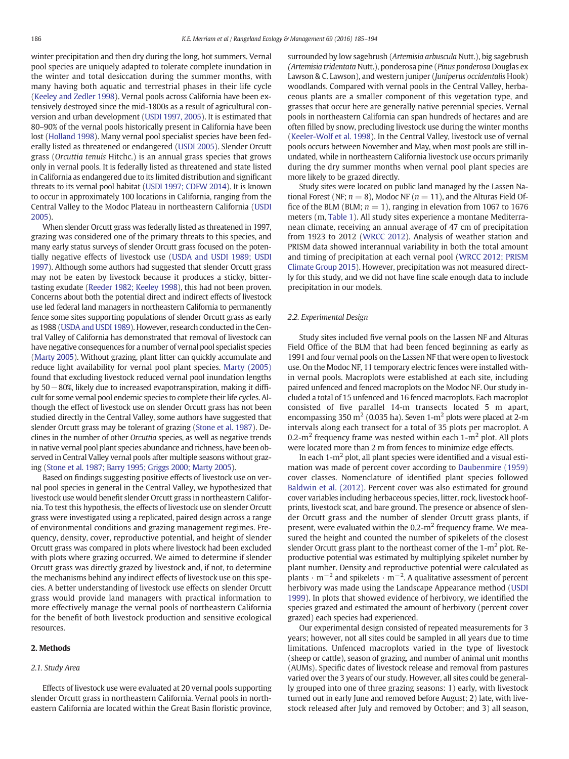winter precipitation and then dry during the long, hot summers. Vernal pool species are uniquely adapted to tolerate complete inundation in the winter and total desiccation during the summer months, with many having both aquatic and terrestrial phases in their life cycle ([Keeley and Zedler 1998\)](#page-8-0). Vernal pools across California have been extensively destroyed since the mid-1800s as a result of agricultural conversion and urban development [\(USDI 1997, 2005](#page-9-0)). It is estimated that 80–90% of the vernal pools historically present in California have been lost ([Holland 1998](#page-8-0)). Many vernal pool specialist species have been federally listed as threatened or endangered ([USDI 2005\)](#page-9-0). Slender Orcutt grass (Orcuttia tenuis Hitchc.) is an annual grass species that grows only in vernal pools. It is federally listed as threatened and state listed in California as endangered due to its limited distribution and significant threats to its vernal pool habitat [\(USDI 1997; CDFW 2014](#page-9-0)). It is known to occur in approximately 100 locations in California, ranging from the Central Valley to the Modoc Plateau in northeastern California ([USDI](#page-9-0) [2005](#page-9-0)).

When slender Orcutt grass was federally listed as threatened in 1997, grazing was considered one of the primary threats to this species, and many early status surveys of slender Orcutt grass focused on the potentially negative effects of livestock use ([USDA and USDI 1989; USDI](#page-9-0) [1997](#page-9-0)). Although some authors had suggested that slender Orcutt grass may not be eaten by livestock because it produces a sticky, bittertasting exudate ([Reeder 1982; Keeley 1998](#page-9-0)), this had not been proven. Concerns about both the potential direct and indirect effects of livestock use led federal land managers in northeastern California to permanently fence some sites supporting populations of slender Orcutt grass as early as 1988 ([USDA and USDI 1989\)](#page-9-0). However, research conducted in the Central Valley of California has demonstrated that removal of livestock can have negative consequences for a number of vernal pool specialist species ([Marty 2005\)](#page-9-0). Without grazing, plant litter can quickly accumulate and reduce light availability for vernal pool plant species. [Marty \(2005\)](#page-9-0) found that excluding livestock reduced vernal pool inundation lengths by 50−80%, likely due to increased evapotranspiration, making it difficult for some vernal pool endemic species to complete their life cycles. Although the effect of livestock use on slender Orcutt grass has not been studied directly in the Central Valley, some authors have suggested that slender Orcutt grass may be tolerant of grazing [\(Stone et al. 1987](#page-9-0)). Declines in the number of other Orcuttia species, as well as negative trends in native vernal pool plant species abundance and richness, have been observed in Central Valley vernal pools after multiple seasons without grazing [\(Stone et al. 1987; Barry 1995; Griggs 2000; Marty 2005](#page-9-0)).

Based on findings suggesting positive effects of livestock use on vernal pool species in general in the Central Valley, we hypothesized that livestock use would benefit slender Orcutt grass in northeastern California. To test this hypothesis, the effects of livestock use on slender Orcutt grass were investigated using a replicated, paired design across a range of environmental conditions and grazing management regimes. Frequency, density, cover, reproductive potential, and height of slender Orcutt grass was compared in plots where livestock had been excluded with plots where grazing occurred. We aimed to determine if slender Orcutt grass was directly grazed by livestock and, if not, to determine the mechanisms behind any indirect effects of livestock use on this species. A better understanding of livestock use effects on slender Orcutt grass would provide land managers with practical information to more effectively manage the vernal pools of northeastern California for the benefit of both livestock production and sensitive ecological resources.

#### 2. Methods

#### 2.1. Study Area

Effects of livestock use were evaluated at 20 vernal pools supporting slender Orcutt grass in northeastern California. Vernal pools in northeastern California are located within the Great Basin floristic province, surrounded by low sagebrush (Artemisia arbuscula Nutt.), big sagebrush (Artemisia tridentata Nutt.), ponderosa pine (Pinus ponderosa Douglas ex Lawson & C. Lawson), and western juniper (Juniperus occidentalis Hook) woodlands. Compared with vernal pools in the Central Valley, herbaceous plants are a smaller component of this vegetation type, and grasses that occur here are generally native perennial species. Vernal pools in northeastern California can span hundreds of hectares and are often filled by snow, precluding livestock use during the winter months ([Keeler-Wolf et al. 1998\)](#page-8-0). In the Central Valley, livestock use of vernal pools occurs between November and May, when most pools are still inundated, while in northeastern California livestock use occurs primarily during the dry summer months when vernal pool plant species are more likely to be grazed directly.

Study sites were located on public land managed by the Lassen National Forest (NF;  $n = 8$ ), Modoc NF ( $n = 11$ ), and the Alturas Field Office of the BLM (BLM;  $n = 1$ ), ranging in elevation from 1067 to 1676 meters (m, [Table 1\)](#page-2-0). All study sites experience a montane Mediterranean climate, receiving an annual average of 47 cm of precipitation from 1923 to 2012 ([WRCC 2012](#page-9-0)). Analysis of weather station and PRISM data showed interannual variability in both the total amount and timing of precipitation at each vernal pool [\(WRCC 2012; PRISM](#page-9-0) [Climate Group 2015](#page-9-0)). However, precipitation was not measured directly for this study, and we did not have fine scale enough data to include precipitation in our models.

#### 2.2. Experimental Design

Study sites included five vernal pools on the Lassen NF and Alturas Field Office of the BLM that had been fenced beginning as early as 1991 and four vernal pools on the Lassen NF that were open to livestock use. On the Modoc NF, 11 temporary electric fences were installed within vernal pools. Macroplots were established at each site, including paired unfenced and fenced macroplots on the Modoc NF. Our study included a total of 15 unfenced and 16 fenced macroplots. Each macroplot consisted of five parallel 14-m transects located 5 m apart, encompassing 350  $m<sup>2</sup>$  (0.035 ha). Seven 1- $m<sup>2</sup>$  plots were placed at 2-m intervals along each transect for a total of 35 plots per macroplot. A 0.2-m<sup>2</sup> frequency frame was nested within each  $1-m^2$  plot. All plots were located more than 2 m from fences to minimize edge effects.

In each  $1-m^2$  plot, all plant species were identified and a visual estimation was made of percent cover according to [Daubenmire \(1959\)](#page-8-0) cover classes. Nomenclature of identified plant species followed [Baldwin et al. \(2012\).](#page-8-0) Percent cover was also estimated for ground cover variables including herbaceous species, litter, rock, livestock hoofprints, livestock scat, and bare ground. The presence or absence of slender Orcutt grass and the number of slender Orcutt grass plants, if present, were evaluated within the  $0.2$ -m<sup>2</sup> frequency frame. We measured the height and counted the number of spikelets of the closest slender Orcutt grass plant to the northeast corner of the  $1-m^2$  plot. Reproductive potential was estimated by multiplying spikelet number by plant number. Density and reproductive potential were calculated as plants  $\cdot$  m<sup>-2</sup> and spikelets  $\cdot$  m<sup>-2</sup>. A qualitative assessment of percent herbivory was made using the Landscape Appearance method ([USDI](#page-9-0) [1999\)](#page-9-0). In plots that showed evidence of herbivory, we identified the species grazed and estimated the amount of herbivory (percent cover grazed) each species had experienced.

Our experimental design consisted of repeated measurements for 3 years; however, not all sites could be sampled in all years due to time limitations. Unfenced macroplots varied in the type of livestock (sheep or cattle), season of grazing, and number of animal unit months (AUMs). Specific dates of livestock release and removal from pastures varied over the 3 years of our study. However, all sites could be generally grouped into one of three grazing seasons: 1) early, with livestock turned out in early June and removed before August; 2) late, with livestock released after July and removed by October; and 3) all season,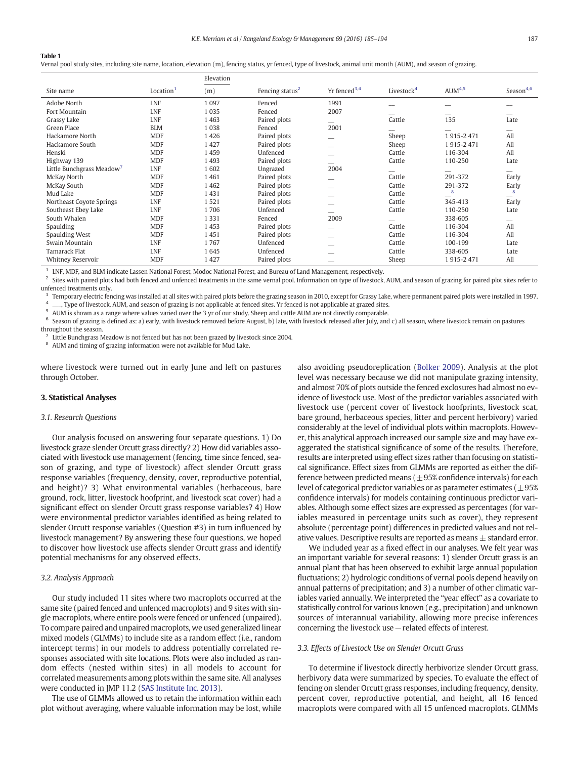#### <span id="page-2-0"></span>Table 1

Vernal pool study sites, including site name, location, elevation (m), fencing status, yr fenced, type of livestock, animal unit month (AUM), and season of grazing.

|                           |                       | Elevation |                             |                            |                        |                    |                          |
|---------------------------|-----------------------|-----------|-----------------------------|----------------------------|------------------------|--------------------|--------------------------|
| Site name                 | Location <sup>1</sup> | (m)       | Fencing status <sup>2</sup> | $Yr$ fenced <sup>3,4</sup> | Livestock <sup>4</sup> | AUM <sup>4,5</sup> | Season <sup>4,6</sup>    |
| Adobe North               | <b>LNF</b>            | 1 0 9 7   | Fenced                      | 1991                       |                        |                    |                          |
| Fort Mountain             | <b>LNF</b>            | 1 0 3 5   | Fenced                      | 2007                       |                        |                    |                          |
| Grassy Lake               | LNF                   | 1463      | Paired plots                | -                          | Cattle                 | 135                | Late                     |
| Green Place               | <b>BLM</b>            | 1038      | Fenced                      | 2001                       |                        |                    | --                       |
| Hackamore North           | <b>MDF</b>            | 1426      | Paired plots                | -                          | Sheep                  | 1915-2471          | All                      |
| Hackamore South           | <b>MDF</b>            | 1427      | Paired plots                |                            | Sheep                  | 1915-2471          | All                      |
| Henski                    | <b>MDF</b>            | 1459      | Unfenced                    | --                         | Cattle                 | 116-304            | All                      |
| Highway 139               | <b>MDF</b>            | 1493      | Paired plots                | -                          | Cattle                 | 110-250            | Late                     |
| Little Bunchgrass Meadow' | LNF                   | 1602      | Ungrazed                    | 2004                       | --                     |                    | $- -$                    |
| McKay North               | <b>MDF</b>            | 1461      | Paired plots                |                            | Cattle                 | 291-372            | Early                    |
| McKay South               | <b>MDF</b>            | 1 4 6 2   | Paired plots                |                            | Cattle                 | 291-372            | Early                    |
| Mud Lake                  | <b>MDF</b>            | 1431      | Paired plots                |                            | Cattle                 | 8                  | 8                        |
| Northeast Coyote Springs  | LNF                   | 1521      | Paired plots                |                            | Cattle                 | 345-413            | Early                    |
| Southeast Ebey Lake       | LNF                   | 1706      | Unfenced                    | -                          | Cattle                 | 110-250            | Late                     |
| South Whalen              | <b>MDF</b>            | 1 3 3 1   | Fenced                      | 2009                       |                        | 338-605            | $\overline{\phantom{a}}$ |
| Spaulding                 | <b>MDF</b>            | 1453      | Paired plots                | -                          | Cattle                 | 116-304            | All                      |
| Spaulding West            | <b>MDF</b>            | 1451      | Paired plots                |                            | Cattle                 | 116-304            | All                      |
| Swain Mountain            | LNF                   | 1767      | Unfenced                    |                            | Cattle                 | 100-199            | Late                     |
| Tamarack Flat             | <b>LNF</b>            | 1645      | Unfenced                    |                            | Cattle                 | 338-605            | Late                     |
| <b>Whitney Reservoir</b>  | <b>MDF</b>            | 1 427     | Paired plots                |                            | Sheep                  | 1915-2471          | All                      |

<sup>1</sup> LNF, MDF, and BLM indicate Lassen National Forest, Modoc National Forest, and Bureau of Land Management, respectively.

<sup>2</sup> Sites with paired plots had both fenced and unfenced treatments in the same vernal pool. Information on type of livestock, AUM, and season of grazing for paired plot sites refer to unfenced treatments only.

<sup>3</sup> Temporary electric fencing was installed at all sites with paired plots before the grazing season in 2010, except for Grassy Lake, where permanent paired plots were installed in 1997. , Type of livestock, AUM, and season of grazing is not applicable at fenced sites. Yr fenced is not applicable at grazed sites.

<sup>5</sup> AUM is shown as a range where values varied over the 3 yr of our study. Sheep and cattle AUM are not directly comparable.<br><sup>6</sup> Soason of grazing is defined as a) oarly with livesteck removed before August b) late with

Season of grazing is defined as: a) early, with livestock removed before August, b) late, with livestock released after July, and c) all season, where livestock remain on pastures

throughout the season.

Little Bunchgrass Meadow is not fenced but has not been grazed by livestock since 2004.

<sup>8</sup> AUM and timing of grazing information were not available for Mud Lake.

where livestock were turned out in early June and left on pastures through October.

#### 3. Statistical Analyses

#### 3.1. Research Questions

Our analysis focused on answering four separate questions. 1) Do livestock graze slender Orcutt grass directly? 2) How did variables associated with livestock use management (fencing, time since fenced, season of grazing, and type of livestock) affect slender Orcutt grass response variables (frequency, density, cover, reproductive potential, and height)? 3) What environmental variables (herbaceous, bare ground, rock, litter, livestock hoofprint, and livestock scat cover) had a significant effect on slender Orcutt grass response variables? 4) How were environmental predictor variables identified as being related to slender Orcutt response variables (Question #3) in turn influenced by livestock management? By answering these four questions, we hoped to discover how livestock use affects slender Orcutt grass and identify potential mechanisms for any observed effects.

#### 3.2. Analysis Approach

Our study included 11 sites where two macroplots occurred at the same site (paired fenced and unfenced macroplots) and 9 sites with single macroplots, where entire pools were fenced or unfenced (unpaired). To compare paired and unpaired macroplots, we used generalized linear mixed models (GLMMs) to include site as a random effect (i.e., random intercept terms) in our models to address potentially correlated responses associated with site locations. Plots were also included as random effects (nested within sites) in all models to account for correlated measurements among plots within the same site. All analyses were conducted in JMP 11.2 ([SAS Institute Inc. 2013](#page-9-0)).

The use of GLMMs allowed us to retain the information within each plot without averaging, where valuable information may be lost, while also avoiding pseudoreplication [\(Bolker 2009](#page-8-0)). Analysis at the plot level was necessary because we did not manipulate grazing intensity, and almost 70% of plots outside the fenced exclosures had almost no evidence of livestock use. Most of the predictor variables associated with livestock use (percent cover of livestock hoofprints, livestock scat, bare ground, herbaceous species, litter and percent herbivory) varied considerably at the level of individual plots within macroplots. However, this analytical approach increased our sample size and may have exaggerated the statistical significance of some of the results. Therefore, results are interpreted using effect sizes rather than focusing on statistical significance. Effect sizes from GLMMs are reported as either the difference between predicted means  $(\pm 95\%$  confidence intervals) for each level of categorical predictor variables or as parameter estimates ( $\pm$ 95% confidence intervals) for models containing continuous predictor variables. Although some effect sizes are expressed as percentages (for variables measured in percentage units such as cover), they represent absolute (percentage point) differences in predicted values and not relative values. Descriptive results are reported as means  $\pm$  standard error.

We included year as a fixed effect in our analyses. We felt year was an important variable for several reasons: 1) slender Orcutt grass is an annual plant that has been observed to exhibit large annual population fluctuations; 2) hydrologic conditions of vernal pools depend heavily on annual patterns of precipitation; and 3) a number of other climatic variables varied annually. We interpreted the "year effect" as a covariate to statistically control for various known (e.g., precipitation) and unknown sources of interannual variability, allowing more precise inferences concerning the livestock use−related effects of interest.

#### 3.3. Effects of Livestock Use on Slender Orcutt Grass

To determine if livestock directly herbivorize slender Orcutt grass, herbivory data were summarized by species. To evaluate the effect of fencing on slender Orcutt grass responses, including frequency, density, percent cover, reproductive potential, and height, all 16 fenced macroplots were compared with all 15 unfenced macroplots. GLMMs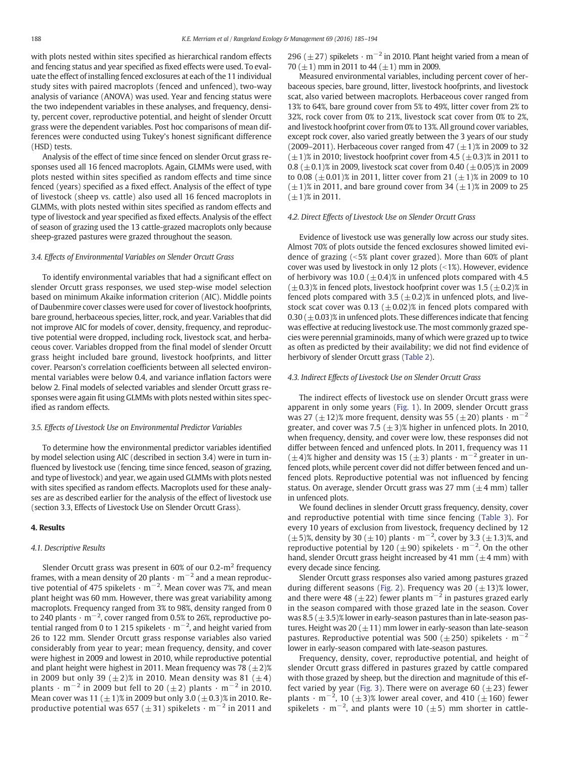with plots nested within sites specified as hierarchical random effects and fencing status and year specified as fixed effects were used. To evaluate the effect of installing fenced exclosures at each of the 11 individual study sites with paired macroplots (fenced and unfenced), two-way analysis of variance (ANOVA) was used. Year and fencing status were the two independent variables in these analyses, and frequency, density, percent cover, reproductive potential, and height of slender Orcutt grass were the dependent variables. Post hoc comparisons of mean differences were conducted using Tukey's honest significant difference (HSD) tests.

Analysis of the effect of time since fenced on slender Orcut grass responses used all 16 fenced macroplots. Again, GLMMs were used, with plots nested within sites specified as random effects and time since fenced (years) specified as a fixed effect. Analysis of the effect of type of livestock (sheep vs. cattle) also used all 16 fenced macroplots in GLMMs, with plots nested within sites specified as random effects and type of livestock and year specified as fixed effects. Analysis of the effect of season of grazing used the 13 cattle-grazed macroplots only because sheep-grazed pastures were grazed throughout the season.

#### 3.4. Effects of Environmental Variables on Slender Orcutt Grass

To identify environmental variables that had a significant effect on slender Orcutt grass responses, we used step-wise model selection based on minimum Akaike information criterion (AIC). Middle points of Daubenmire cover classes were used for cover of livestock hoofprints, bare ground, herbaceous species, litter, rock, and year. Variables that did not improve AIC for models of cover, density, frequency, and reproductive potential were dropped, including rock, livestock scat, and herbaceous cover. Variables dropped from the final model of slender Orcutt grass height included bare ground, livestock hoofprints, and litter cover. Pearson's correlation coefficients between all selected environmental variables were below 0.4, and variance inflation factors were below 2. Final models of selected variables and slender Orcutt grass responses were again fit using GLMMs with plots nested within sites specified as random effects.

#### 3.5. Effects of Livestock Use on Environmental Predictor Variables

To determine how the environmental predictor variables identified by model selection using AIC (described in section 3.4) were in turn influenced by livestock use (fencing, time since fenced, season of grazing, and type of livestock) and year, we again used GLMMs with plots nested with sites specified as random effects. Macroplots used for these analyses are as described earlier for the analysis of the effect of livestock use (section 3.3, Effects of Livestock Use on Slender Orcutt Grass).

#### 4. Results

#### 4.1. Descriptive Results

Slender Orcutt grass was present in  $60\%$  of our 0.2-m<sup>2</sup> frequency frames, with a mean density of 20 plants  $\cdot$  m<sup>-2</sup> and a mean reproductive potential of 475 spikelets  $\cdot$  m<sup>-2</sup>. Mean cover was 7%, and mean plant height was 60 mm. However, there was great variability among macroplots. Frequency ranged from 3% to 98%, density ranged from 0 to 240 plants  $\cdot$  m<sup>-2</sup>, cover ranged from 0.5% to 26%, reproductive potential ranged from 0 to 1 215 spikelets  $\cdot$  m<sup>-2</sup>, and height varied from 26 to 122 mm. Slender Orcutt grass response variables also varied considerably from year to year; mean frequency, density, and cover were highest in 2009 and lowest in 2010, while reproductive potential and plant height were highest in 2011. Mean frequency was 78  $(\pm 2)$ % in 2009 but only 39 ( $\pm$ 2)% in 2010. Mean density was 81 ( $\pm$ 4) plants  $\cdot$  m<sup>-2</sup> in 2009 but fell to 20 ( $\pm$ 2) plants  $\cdot$  m<sup>-2</sup> in 2010. Mean cover was 11 ( $\pm$  1)% in 2009 but only 3.0 ( $\pm$  0.3)% in 2010. Reproductive potential was 657 ( $\pm$ 31) spikelets · m<sup>-2</sup> in 2011 and 296 ( $\pm$  27) spikelets · m<sup>-2</sup> in 2010. Plant height varied from a mean of 70  $(\pm 1)$  mm in 2011 to 44  $(\pm 1)$  mm in 2009.

Measured environmental variables, including percent cover of herbaceous species, bare ground, litter, livestock hoofprints, and livestock scat, also varied between macroplots. Herbaceous cover ranged from 13% to 64%, bare ground cover from 5% to 49%, litter cover from 2% to 32%, rock cover from 0% to 21%, livestock scat cover from 0% to 2%, and livestock hoofprint cover from 0% to 13%. All ground cover variables, except rock cover, also varied greatly between the 3 years of our study (2009–2011). Herbaceous cover ranged from 47 ( $\pm$ 1)% in 2009 to 32  $(\pm 1)$ % in 2010; livestock hoofprint cover from 4.5 ( $\pm$ 0.3)% in 2011 to 0.8 ( $\pm$ 0.1)% in 2009, livestock scat cover from 0.40 ( $\pm$ 0.05)% in 2009 to 0.08 ( $\pm$  0.01)% in 2011, litter cover from 21 ( $\pm$  1)% in 2009 to 10  $(\pm 1)$ % in 2011, and bare ground cover from 34  $(\pm 1)$ % in 2009 to 25  $(\pm 1)$ % in 2011.

#### 4.2. Direct Effects of Livestock Use on Slender Orcutt Grass

Evidence of livestock use was generally low across our study sites. Almost 70% of plots outside the fenced exclosures showed limited evidence of grazing  $\left( < 5\% \right.$  plant cover grazed). More than 60% of plant cover was used by livestock in only 12 plots  $($  < 1%). However, evidence of herbivory was 10.0 ( $\pm$ 0.4)% in unfenced plots compared with 4.5  $(\pm 0.3)$ % in fenced plots, livestock hoofprint cover was 1.5 ( $\pm 0.2$ )% in fenced plots compared with 3.5 ( $\pm$  0.2)% in unfenced plots, and livestock scat cover was 0.13 ( $\pm$ 0.02)% in fenced plots compared with 0.30 ( $\pm$  0.03)% in unfenced plots. These differences indicate that fencing was effective at reducing livestock use. The most commonly grazed species were perennial graminoids, many of which were grazed up to twice as often as predicted by their availability; we did not find evidence of herbivory of slender Orcutt grass ([Table 2](#page-4-0)).

#### 4.3. Indirect Effects of Livestock Use on Slender Orcutt Grass

The indirect effects of livestock use on slender Orcutt grass were apparent in only some years [\(Fig. 1](#page-4-0)). In 2009, slender Orcutt grass was 27 ( $\pm$ 12)% more frequent, density was 55 ( $\pm$ 20) plants · m<sup>-2</sup> greater, and cover was 7.5 ( $\pm$ 3)% higher in unfenced plots. In 2010, when frequency, density, and cover were low, these responses did not differ between fenced and unfenced plots. In 2011, frequency was 11  $(\pm 4)$ % higher and density was 15 ( $\pm 3$ ) plants · m<sup>-2</sup> greater in unfenced plots, while percent cover did not differ between fenced and unfenced plots. Reproductive potential was not influenced by fencing status. On average, slender Orcutt grass was 27 mm ( $\pm$ 4 mm) taller in unfenced plots.

We found declines in slender Orcutt grass frequency, density, cover and reproductive potential with time since fencing ([Table 3\)](#page-5-0). For every 10 years of exclusion from livestock, frequency declined by 12  $(\pm 5)$ %, density by 30 ( $\pm 10$ ) plants  $\cdot$  m<sup>-2</sup>, cover by 3.3 ( $\pm 1.3$ )%, and reproductive potential by 120 ( $\pm$ 90) spikelets  $\cdot$  m<sup>-2</sup>. On the other hand, slender Orcutt grass height increased by 41 mm  $(\pm 4$  mm) with every decade since fencing.

Slender Orcutt grass responses also varied among pastures grazed during different seasons [\(Fig. 2](#page-5-0)). Frequency was 20  $(\pm 13)$ % lower, and there were 48 ( $\pm$ 22) fewer plants m<sup>-2</sup> in pastures grazed early in the season compared with those grazed late in the season. Cover was 8.5  $(\pm 3.5)$ % lower in early-season pastures than in late-season pastures. Height was 20  $(\pm 11)$  mm lower in early-season than late-season pastures. Reproductive potential was 500 ( $\pm$ 250) spikelets · m<sup>-</sup> lower in early-season compared with late-season pastures.

Frequency, density, cover, reproductive potential, and height of slender Orcutt grass differed in pastures grazed by cattle compared with those grazed by sheep, but the direction and magnitude of this ef-fect varied by year ([Fig. 3\)](#page-6-0). There were on average 60 ( $\pm$ 23) fewer plants  $\cdot$  m<sup>-2</sup>, 10 ( $\pm 3$ )% lower areal cover, and 410 ( $\pm 160$ ) fewer spikelets  $\cdot$  m<sup>-2</sup>, and plants were 10 ( $\pm$ 5) mm shorter in cattle-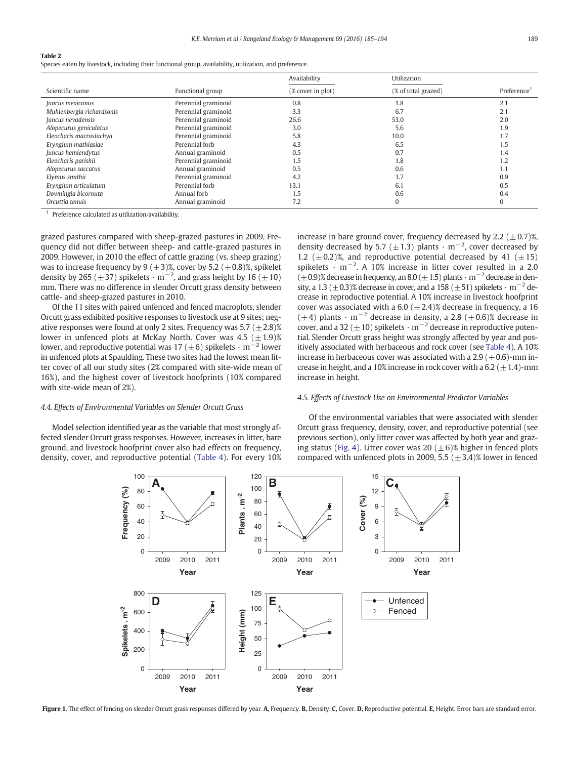#### <span id="page-4-0"></span>Table 2

Species eaten by livestock, including their functional group, availability, utilization, and preference.

|                           |                     | Availability      | Utilization         |                         |
|---------------------------|---------------------|-------------------|---------------------|-------------------------|
| Scientific name           | Functional group    | (% cover in plot) | (% of total grazed) | Preference <sup>1</sup> |
| Juncus mexicanus          | Perennial graminoid | 0.8               | 1.8                 | 2.1                     |
| Muhlenbergia richardsonis | Perennial graminoid | 3.3               | 6.7                 | 2.1                     |
| Juncus nevadensis         | Perennial graminoid | 26.6              | 53.0                | 2.0                     |
| Alopecurus geniculatus    | Perennial graminoid | 3.0               | 5.6                 | 1.9                     |
| Eleocharis macrostachya   | Perennial graminoid | 5.8               | 10.0                | 1.7                     |
| Eryngium mathiasiae       | Perennial forb      | 4.3               | 6.5                 | 1.5                     |
| Juncus hemiendytus        | Annual graminoid    | 0.5               | 0.7                 | 1.4                     |
| Eleocharis parishii       | Perennial graminoid | 1.5               | 1.8                 | 1.2                     |
| Alopecurus saccatus       | Annual graminoid    | 0.5               | 0.6                 | 1.1                     |
| Elymus smithii            | Perennial graminoid | 4.2               | 3.7                 | 0.9                     |
| Eryngium articulatum      | Perennial forb      | 13.1              | 6.1                 | 0.5                     |
| Downingia bicornuta       | Annual forb         | 1.5               | 0.6                 | 0.4                     |
| Orcuttia tenuis           | Annual graminoid    | 7.2               | $\Omega$            | $\Omega$                |

<sup>1</sup> Preference calculated as utilization/availability.

grazed pastures compared with sheep-grazed pastures in 2009. Frequency did not differ between sheep- and cattle-grazed pastures in 2009. However, in 2010 the effect of cattle grazing (vs. sheep grazing) was to increase frequency by 9 ( $\pm$ 3)%, cover by 5.2 ( $\pm$ 0.8)%, spikelet density by 265 ( $\pm$ 37) spikelets  $\cdot$  m<sup>-2</sup>, and grass height by 16 ( $\pm$ 10) mm. There was no difference in slender Orcutt grass density between cattle- and sheep-grazed pastures in 2010.

Of the 11 sites with paired unfenced and fenced macroplots, slender Orcutt grass exhibited positive responses to livestock use at 9 sites; negative responses were found at only 2 sites. Frequency was  $5.7 (\pm 2.8)$ % lower in unfenced plots at McKay North. Cover was  $4.5~(\pm 1.9)$ % lower, and reproductive potential was 17 ( $\pm$ 6) spikelets · m<sup>-2</sup> lower in unfenced plots at Spaulding. These two sites had the lowest mean litter cover of all our study sites (2% compared with site-wide mean of 16%), and the highest cover of livestock hoofprints (10% compared with site-wide mean of 2%).

### 4.4. Effects of Environmental Variables on Slender Orcutt Grass

Model selection identified year as the variable that most strongly affected slender Orcutt grass responses. However, increases in litter, bare ground, and livestock hoofprint cover also had effects on frequency, density, cover, and reproductive potential ([Table 4](#page-6-0)). For every 10%

increase in bare ground cover, frequency decreased by 2.2  $(\pm 0.7)$ %, density decreased by 5.7 ( $\pm$  1.3) plants  $\cdot$  m<sup>-2</sup>, cover decreased by 1.2 ( $\pm$ 0.2)%, and reproductive potential decreased by 41 ( $\pm$ 15) spikelets  $\cdot$  m<sup>-2</sup>. A 10% increase in litter cover resulted in a 2.0  $(\pm 0.9)$ % decrease in frequency, an 8.0 ( $\pm 1.5$ ) plants · m<sup>-2</sup> decrease in density, a 1.3 ( $\pm$ 0.3)% decrease in cover, and a 158 ( $\pm$ 51) spikelets  $\cdot$  m<sup>-2</sup> decrease in reproductive potential. A 10% increase in livestock hoofprint cover was associated with a 6.0 ( $\pm$ 2.4)% decrease in frequency, a 16 ( $\pm$ 4) plants · m<sup>-2</sup> decrease in density, a 2.8 ( $\pm$ 0.6)% decrease in cover, and a 32 ( $\pm$ 10) spikelets  $\cdot$  m<sup>-2</sup> decrease in reproductive potential. Slender Orcutt grass height was strongly affected by year and positively associated with herbaceous and rock cover (see [Table 4](#page-6-0)). A 10% increase in herbaceous cover was associated with a 2.9 ( $\pm$ 0.6)-mm increase in height, and a 10% increase in rock cover with a 6.2 ( $\pm$ 1.4)-mm increase in height.

#### 4.5. Effects of Livestock Use on Environmental Predictor Variables

Of the environmental variables that were associated with slender Orcutt grass frequency, density, cover, and reproductive potential (see previous section), only litter cover was affected by both year and graz-ing status [\(Fig. 4](#page-7-0)). Litter cover was 20 ( $\pm$  6)% higher in fenced plots compared with unfenced plots in 2009, 5.5 ( $\pm$ 3.4)% lower in fenced



Figure 1. The effect of fencing on slender Orcutt grass responses differed by year. A, Frequency. B, Density. C, Cover. D, Reproductive potential. E, Height. Error bars are standard error.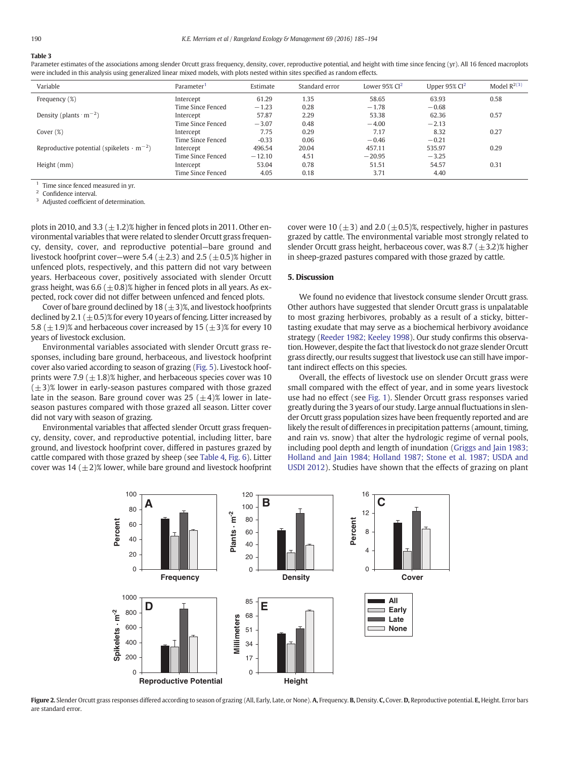# <span id="page-5-0"></span>Table 3

#### Parameter estimates of the associations among slender Orcutt grass frequency, density, cover, reproductive potential, and height with time since fencing (yr). All 16 fenced macroplots were included in this analysis using generalized linear mixed models, with plots nested within sites specified as random effects.

| Variable                                                    | Parameter <sup>1</sup> | Estimate | Standard error | Lower $95\%$ Cl <sup>2</sup> | Upper $95\%$ Cl <sup>2</sup> | Model $R^{2(3)}$ |
|-------------------------------------------------------------|------------------------|----------|----------------|------------------------------|------------------------------|------------------|
| Frequency (%)                                               | Intercept              | 61.29    | 1.35           | 58.65                        | 63.93                        | 0.58             |
|                                                             | Time Since Fenced      | $-1.23$  | 0.28           | $-1.78$                      | $-0.68$                      |                  |
| Density (plants $\cdot$ m <sup>-2</sup> )                   | Intercept              | 57.87    | 2.29           | 53.38                        | 62.36                        | 0.57             |
|                                                             | Time Since Fenced      | $-3.07$  | 0.48           | $-4.00$                      | $-2.13$                      |                  |
| Cover $(\%)$                                                | Intercept              | 7.75     | 0.29           | 7.17                         | 8.32                         | 0.27             |
|                                                             | Time Since Fenced      | $-0.33$  | 0.06           | $-0.46$                      | $-0.21$                      |                  |
| Reproductive potential (spikelets $\cdot$ m <sup>-2</sup> ) | Intercept              | 496.54   | 20.04          | 457.11                       | 535.97                       | 0.29             |
|                                                             | Time Since Fenced      | $-12.10$ | 4.51           | $-20.95$                     | $-3.25$                      |                  |
| Height (mm)                                                 | Intercept              | 53.04    | 0.78           | 51.51                        | 54.57                        | 0.31             |
|                                                             | Time Since Fenced      | 4.05     | 0.18           | 3.71                         | 4.40                         |                  |

<sup>1</sup> Time since fenced measured in yr.

Confidence interval.

Adjusted coefficient of determination.

plots in 2010, and 3.3  $(\pm 1.2)$ % higher in fenced plots in 2011. Other environmental variables that were related to slender Orcutt grass frequency, density, cover, and reproductive potential—bare ground and livestock hoofprint cover—were 5.4 ( $\pm$ 2.3) and 2.5 ( $\pm$ 0.5)% higher in unfenced plots, respectively, and this pattern did not vary between years. Herbaceous cover, positively associated with slender Orcutt grass height, was  $6.6 (\pm 0.8)$ % higher in fenced plots in all years. As expected, rock cover did not differ between unfenced and fenced plots.

Cover of bare ground declined by 18  $(\pm 3)$ %, and livestock hoofprints declined by 2.1 ( $\pm$  0.5)% for every 10 years of fencing. Litter increased by 5.8 ( $\pm$ 1.9)% and herbaceous cover increased by 15 ( $\pm$ 3)% for every 10 years of livestock exclusion.

Environmental variables associated with slender Orcutt grass responses, including bare ground, herbaceous, and livestock hoofprint cover also varied according to season of grazing ([Fig. 5\)](#page-7-0). Livestock hoofprints were 7.9 ( $\pm$ 1.8)% higher, and herbaceous species cover was 10  $(\pm 3)$ % lower in early-season pastures compared with those grazed late in the season. Bare ground cover was 25  $(\pm 4)$ % lower in lateseason pastures compared with those grazed all season. Litter cover did not vary with season of grazing.

Environmental variables that affected slender Orcutt grass frequency, density, cover, and reproductive potential, including litter, bare ground, and livestock hoofprint cover, differed in pastures grazed by cattle compared with those grazed by sheep (see [Table 4,](#page-6-0) [Fig. 6](#page-8-0)). Litter cover was  $14 (\pm 2)$ % lower, while bare ground and livestock hoofprint

cover were 10 ( $\pm$ 3) and 2.0 ( $\pm$ 0.5)%, respectively, higher in pastures grazed by cattle. The environmental variable most strongly related to slender Orcutt grass height, herbaceous cover, was 8.7  $(\pm 3.2)$ % higher in sheep-grazed pastures compared with those grazed by cattle.

### 5. Discussion

We found no evidence that livestock consume slender Orcutt grass. Other authors have suggested that slender Orcutt grass is unpalatable to most grazing herbivores, probably as a result of a sticky, bittertasting exudate that may serve as a biochemical herbivory avoidance strategy ([Reeder 1982; Keeley 1998\)](#page-9-0). Our study confirms this observation. However, despite the fact that livestock do not graze slender Orcutt grass directly, our results suggest that livestock use can still have important indirect effects on this species.

Overall, the effects of livestock use on slender Orcutt grass were small compared with the effect of year, and in some years livestock use had no effect (see [Fig. 1](#page-4-0)). Slender Orcutt grass responses varied greatly during the 3 years of our study. Large annual fluctuations in slender Orcutt grass population sizes have been frequently reported and are likely the result of differences in precipitation patterns (amount, timing, and rain vs. snow) that alter the hydrologic regime of vernal pools, including pool depth and length of inundation ([Griggs and Jain 1983;](#page-8-0) [Holland and Jain 1984; Holland 1987; Stone et al. 1987; USDA and](#page-8-0) [USDI 2012](#page-8-0)). Studies have shown that the effects of grazing on plant



Figure 2. Slender Orcutt grass responses differed according to season of grazing (All, Early, Late, or None). A, Frequency. B, Density. C, Cover. D, Reproductive potential. E, Height. Error bars are standard error.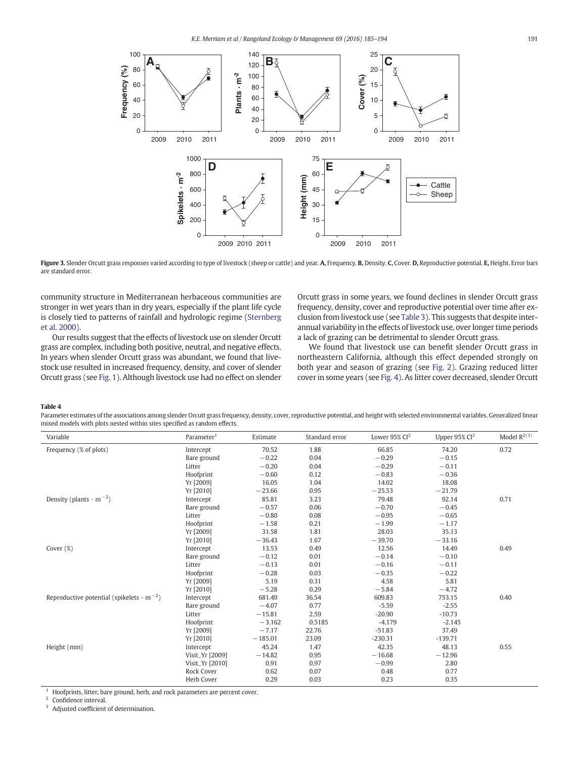<span id="page-6-0"></span>

Figure 3. Slender Orcutt grass responses varied according to type of livestock (sheep or cattle) and year. A, Frequency. B, Density. C, Cover. D, Reproductive potential. E, Height. Error bars are standard error.

community structure in Mediterranean herbaceous communities are stronger in wet years than in dry years, especially if the plant life cycle is closely tied to patterns of rainfall and hydrologic regime [\(Sternberg](#page-9-0) [et al. 2000](#page-9-0)).

Our results suggest that the effects of livestock use on slender Orcutt grass are complex, including both positive, neutral, and negative effects. In years when slender Orcutt grass was abundant, we found that livestock use resulted in increased frequency, density, and cover of slender Orcutt grass (see [Fig. 1](#page-4-0)). Although livestock use had no effect on slender

Orcutt grass in some years, we found declines in slender Orcutt grass frequency, density, cover and reproductive potential over time after exclusion from livestock use (see [Table 3\)](#page-5-0). This suggests that despite interannual variability in the effects of livestock use, over longer time periods a lack of grazing can be detrimental to slender Orcutt grass.

We found that livestock use can benefit slender Orcutt grass in northeastern California, although this effect depended strongly on both year and season of grazing (see [Fig. 2](#page-5-0)). Grazing reduced litter cover in some years (see [Fig. 4\)](#page-7-0). As litter cover decreased, slender Orcutt

#### Table 4

Parameter estimates of the associations among slender Orcutt grass frequency, density, cover, reproductive potential, and height with selected environmental variables. Generalized linear mixed models with plots nested within sites specified as random effects.

| Variable                                                    | Parameter <sup>1</sup> | Estimate  | Standard error | Lower 95% $Cl2$ | Upper $95\%$ Cl <sup>2</sup> | Model $R^{2(3)}$ |
|-------------------------------------------------------------|------------------------|-----------|----------------|-----------------|------------------------------|------------------|
| Frequency (% of plots)                                      | Intercept              | 70.52     | 1.88           | 66.85           | 74.20                        | 0.72             |
|                                                             | Bare ground            | $-0.22$   | 0.04           | $-0.29$         | $-0.15$                      |                  |
|                                                             | Litter                 | $-0.20$   | 0.04           | $-0.29$         | $-0.11$                      |                  |
|                                                             | Hoofprint              | $-0.60$   | 0.12           | $-0.83$         | $-0.36$                      |                  |
|                                                             | Yr [2009]              | 16.05     | 1.04           | 14.02           | 18.08                        |                  |
|                                                             | Yr [2010]              | $-23.66$  | 0.95           | $-25.53$        | $-21.79$                     |                  |
| Density (plants $\cdot$ m <sup>-2</sup> )                   | Intercept              | 85.81     | 3.23           | 79.48           | 92.14                        | 0.71             |
|                                                             | Bare ground            | $-0.57$   | 0.06           | $-0.70$         | $-0.45$                      |                  |
|                                                             | Litter                 | $-0.80$   | 0.08           | $-0.95$         | $-0.65$                      |                  |
|                                                             | Hoofprint              | $-1.58$   | 0.21           | $-1.99$         | $-1.17$                      |                  |
|                                                             | Yr [2009]              | 31.58     | 1.81           | 28.03           | 35.13                        |                  |
|                                                             | Yr [2010]              | $-36.43$  | 1.67           | $-39.70$        | $-33.16$                     |                  |
| Cover $(\%)$                                                | Intercept              | 13.53     | 0.49           | 12.56           | 14.49                        | 0.49             |
|                                                             | Bare ground            | $-0.12$   | 0.01           | $-0.14$         | $-0.10$                      |                  |
|                                                             | Litter                 | $-0.13$   | 0.01           | $-0.16$         | $-0.11$                      |                  |
|                                                             | Hoofprint              | $-0.28$   | 0.03           | $-0.35$         | $-0.22$                      |                  |
|                                                             | Yr [2009]              | 5.19      | 0.31           | 4.58            | 5.81                         |                  |
|                                                             | Yr [2010]              | $-5.28$   | 0.29           | $-5.84$         | $-4.72$                      |                  |
| Reproductive potential (spikelets $\cdot$ m <sup>-2</sup> ) | Intercept              | 681.49    | 36.54          | 609.83          | 753.15                       | 0.40             |
|                                                             | Bare ground            | $-4.07$   | 0.77           | $-5.59$         | $-2.55$                      |                  |
|                                                             | Litter                 | $-15.81$  | 2.59           | $-20.90$        | $-10.73$                     |                  |
|                                                             | Hoofprint              | $-3.162$  | 0.5185         | $-4.179$        | $-2.145$                     |                  |
|                                                             | Yr [2009]              | $-7.17$   | 22.76          | $-51.83$        | 37.49                        |                  |
|                                                             | Yr [2010]              | $-185.01$ | 23.09          | $-230.31$       | $-139.71$                    |                  |
| Height (mm)                                                 | Intercept              | 45.24     | 1.47           | 42.35           | 48.13                        | 0.55             |
|                                                             | Visit_Yr [2009]        | $-14.82$  | 0.95           | $-16.68$        | $-12.96$                     |                  |
|                                                             | Visit_Yr [2010]        | 0.91      | 0.97           | $-0.99$         | 2.80                         |                  |
|                                                             | Rock Cover             | 0.62      | 0.07           | 0.48            | 0.77                         |                  |
|                                                             | Herb Cover             | 0.29      | 0.03           | 0.23            | 0.35                         |                  |

<sup>1</sup> Hoofprints, litter, bare ground, herb, and rock parameters are percent cover.<br><sup>2</sup> Confidence interval

 $\frac{2}{3}$  Confidence interval.

Adjusted coefficient of determination.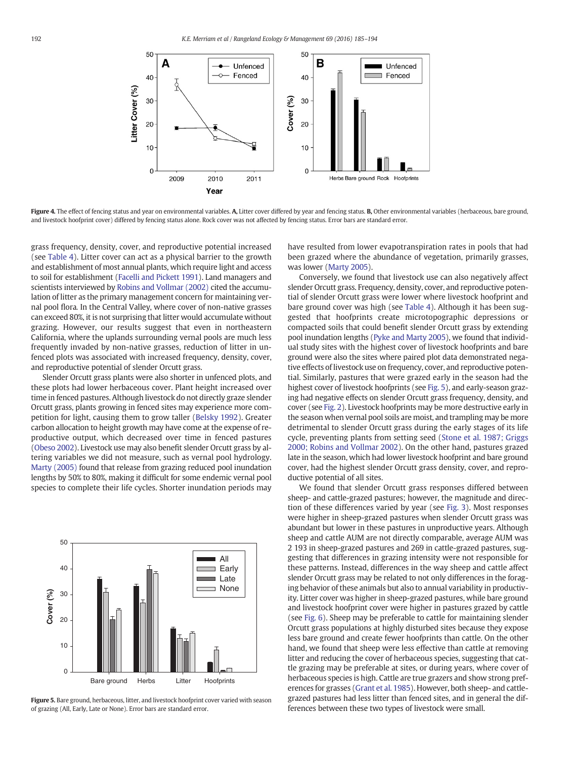<span id="page-7-0"></span>

Figure 4. The effect of fencing status and year on environmental variables. A, Litter cover differed by year and fencing status. B, Other environmental variables (herbaceous, bare ground, and livestock hoofprint cover) differed by fencing status alone. Rock cover was not affected by fencing status. Error bars are standard error.

grass frequency, density, cover, and reproductive potential increased (see [Table 4\)](#page-6-0). Litter cover can act as a physical barrier to the growth and establishment of most annual plants, which require light and access to soil for establishment [\(Facelli and Pickett 1991](#page-8-0)). Land managers and scientists interviewed by [Robins and Vollmar \(2002\)](#page-9-0) cited the accumulation of litter as the primary management concern for maintaining vernal pool flora. In the Central Valley, where cover of non-native grasses can exceed 80%, it is not surprising that litter would accumulate without grazing. However, our results suggest that even in northeastern California, where the uplands surrounding vernal pools are much less frequently invaded by non-native grasses, reduction of litter in unfenced plots was associated with increased frequency, density, cover, and reproductive potential of slender Orcutt grass.

Slender Orcutt grass plants were also shorter in unfenced plots, and these plots had lower herbaceous cover. Plant height increased over time in fenced pastures. Although livestock do not directly graze slender Orcutt grass, plants growing in fenced sites may experience more competition for light, causing them to grow taller [\(Belsky 1992](#page-8-0)). Greater carbon allocation to height growth may have come at the expense of reproductive output, which decreased over time in fenced pastures ([Obeso 2002](#page-9-0)). Livestock use may also benefit slender Orcutt grass by altering variables we did not measure, such as vernal pool hydrology. [Marty \(2005\)](#page-9-0) found that release from grazing reduced pool inundation lengths by 50% to 80%, making it difficult for some endemic vernal pool species to complete their life cycles. Shorter inundation periods may



Figure 5. Bare ground, herbaceous, litter, and livestock hoofprint cover varied with season of grazing (All, Early, Late or None). Error bars are standard error.

have resulted from lower evapotranspiration rates in pools that had been grazed where the abundance of vegetation, primarily grasses, was lower ([Marty 2005\)](#page-9-0).

Conversely, we found that livestock use can also negatively affect slender Orcutt grass. Frequency, density, cover, and reproductive potential of slender Orcutt grass were lower where livestock hoofprint and bare ground cover was high (see [Table 4\)](#page-6-0). Although it has been suggested that hoofprints create microtopographic depressions or compacted soils that could benefit slender Orcutt grass by extending pool inundation lengths [\(Pyke and Marty 2005](#page-9-0)), we found that individual study sites with the highest cover of livestock hoofprints and bare ground were also the sites where paired plot data demonstrated negative effects of livestock use on frequency, cover, and reproductive potential. Similarly, pastures that were grazed early in the season had the highest cover of livestock hoofprints (see Fig. 5), and early-season grazing had negative effects on slender Orcutt grass frequency, density, and cover (see [Fig. 2](#page-5-0)). Livestock hoofprints may be more destructive early in the season when vernal pool soils are moist, and trampling may be more detrimental to slender Orcutt grass during the early stages of its life cycle, preventing plants from setting seed [\(Stone et al. 1987; Griggs](#page-9-0) [2000; Robins and Vollmar 2002\)](#page-9-0). On the other hand, pastures grazed late in the season, which had lower livestock hoofprint and bare ground cover, had the highest slender Orcutt grass density, cover, and reproductive potential of all sites.

We found that slender Orcutt grass responses differed between sheep- and cattle-grazed pastures; however, the magnitude and direction of these differences varied by year (see [Fig. 3](#page-6-0)). Most responses were higher in sheep-grazed pastures when slender Orcutt grass was abundant but lower in these pastures in unproductive years. Although sheep and cattle AUM are not directly comparable, average AUM was 2 193 in sheep-grazed pastures and 269 in cattle-grazed pastures, suggesting that differences in grazing intensity were not responsible for these patterns. Instead, differences in the way sheep and cattle affect slender Orcutt grass may be related to not only differences in the foraging behavior of these animals but also to annual variability in productivity. Litter cover was higher in sheep-grazed pastures, while bare ground and livestock hoofprint cover were higher in pastures grazed by cattle (see [Fig. 6\)](#page-8-0). Sheep may be preferable to cattle for maintaining slender Orcutt grass populations at highly disturbed sites because they expose less bare ground and create fewer hoofprints than cattle. On the other hand, we found that sheep were less effective than cattle at removing litter and reducing the cover of herbaceous species, suggesting that cattle grazing may be preferable at sites, or during years, where cover of herbaceous species is high. Cattle are true grazers and show strong preferences for grasses [\(Grant et al. 1985](#page-8-0)). However, both sheep- and cattlegrazed pastures had less litter than fenced sites, and in general the differences between these two types of livestock were small.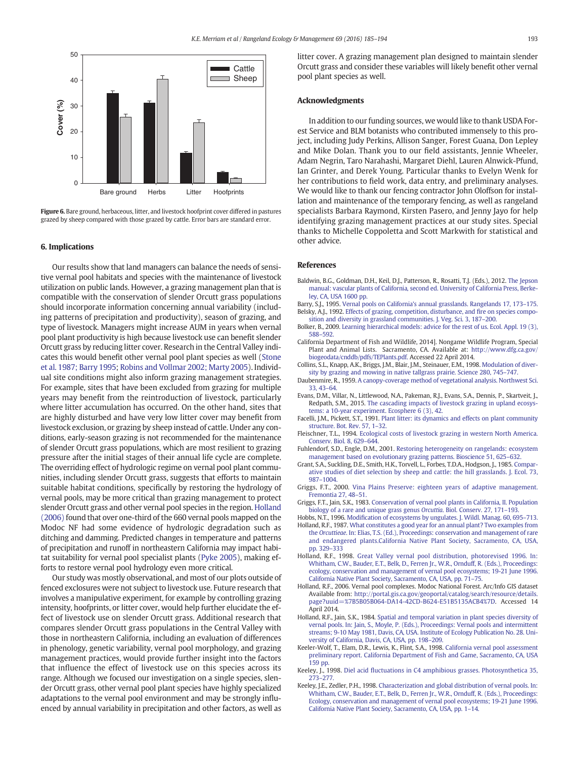<span id="page-8-0"></span>

Figure 6. Bare ground, herbaceous, litter, and livestock hoofprint cover differed in pastures grazed by sheep compared with those grazed by cattle. Error bars are standard error.

#### 6. Implications

Our results show that land managers can balance the needs of sensitive vernal pool habitats and species with the maintenance of livestock utilization on public lands. However, a grazing management plan that is compatible with the conservation of slender Orcutt grass populations should incorporate information concerning annual variability (including patterns of precipitation and productivity), season of grazing, and type of livestock. Managers might increase AUM in years when vernal pool plant productivity is high because livestock use can benefit slender Orcutt grass by reducing litter cover. Research in the Central Valley indicates this would benefit other vernal pool plant species as well [\(Stone](#page-9-0) [et al. 1987; Barry 1995](#page-9-0); [Robins and Vollmar 2002; Marty 2005\)](#page-9-0). Individual site conditions might also inform grazing management strategies. For example, sites that have been excluded from grazing for multiple years may benefit from the reintroduction of livestock, particularly where litter accumulation has occurred. On the other hand, sites that are highly disturbed and have very low litter cover may benefit from livestock exclusion, or grazing by sheep instead of cattle. Under any conditions, early-season grazing is not recommended for the maintenance of slender Orcutt grass populations, which are most resilient to grazing pressure after the initial stages of their annual life cycle are complete. The overriding effect of hydrologic regime on vernal pool plant communities, including slender Orcutt grass, suggests that efforts to maintain suitable habitat conditions, specifically by restoring the hydrology of vernal pools, may be more critical than grazing management to protect slender Orcutt grass and other vernal pool species in the region. Holland (2006) found that over one-third of the 660 vernal pools mapped on the Modoc NF had some evidence of hydrologic degradation such as ditching and damming. Predicted changes in temperature and patterns of precipitation and runoff in northeastern California may impact habitat suitability for vernal pool specialist plants [\(Pyke 2005](#page-9-0)), making efforts to restore vernal pool hydrology even more critical.

Our study was mostly observational, and most of our plots outside of fenced exclosures were not subject to livestock use. Future research that involves a manipulative experiment, for example by controlling grazing intensity, hoofprints, or litter cover, would help further elucidate the effect of livestock use on slender Orcutt grass. Additional research that compares slender Orcutt grass populations in the Central Valley with those in northeastern California, including an evaluation of differences in phenology, genetic variability, vernal pool morphology, and grazing management practices, would provide further insight into the factors that influence the effect of livestock use on this species across its range. Although we focused our investigation on a single species, slender Orcutt grass, other vernal pool plant species have highly specialized adaptations to the vernal pool environment and may be strongly influenced by annual variability in precipitation and other factors, as well as

litter cover. A grazing management plan designed to maintain slender Orcutt grass and consider these variables will likely benefit other vernal pool plant species as well.

#### Acknowledgments

In addition to our funding sources, we would like to thank USDA Forest Service and BLM botanists who contributed immensely to this project, including Judy Perkins, Allison Sanger, Forest Guana, Don Lepley and Mike Dolan. Thank you to our field assistants, Jennie Wheeler, Adam Negrin, Taro Narahashi, Margaret Diehl, Lauren Alnwick-Pfund, Ian Grinter, and Derek Young. Particular thanks to Evelyn Wenk for her contributions to field work, data entry, and preliminary analyses. We would like to thank our fencing contractor John Oloffson for installation and maintenance of the temporary fencing, as well as rangeland specialists Barbara Raymond, Kirsten Pasero, and Jenny Jayo for help identifying grazing management practices at our study sites. Special thanks to Michelle Coppoletta and Scott Markwith for statistical and other advice.

#### References

- Baldwin, B.G., Goldman, D.H., Keil, D.J., Patterson, R., Rosatti, T.J. (Eds.), 2012. [The Jepson](http://refhub.elsevier.com/S1550-7424(16)00007-5/rf0005) [manual: vascular plants of California, second ed. University of California Press, Berke](http://refhub.elsevier.com/S1550-7424(16)00007-5/rf0005)[ley, CA, USA 1600 pp](http://refhub.elsevier.com/S1550-7424(16)00007-5/rf0005).
- Barry, S.J., 1995. [Vernal pools on California's annual grasslands. Rangelands 17, 173](http://refhub.elsevier.com/S1550-7424(16)00007-5/rf0010)–175. Belsky, A.J., 1992. [Effects of grazing, competition, disturbance, and](http://refhub.elsevier.com/S1550-7424(16)00007-5/rf0015) fire on species compo[sition and diversity in grassland communities. J. Veg. Sci. 3, 187](http://refhub.elsevier.com/S1550-7424(16)00007-5/rf0015)–200.
- Bolker, B., 2009. [Learning hierarchical models: advice for the rest of us. Ecol. Appl. 19 \(3\),](http://refhub.elsevier.com/S1550-7424(16)00007-5/rf0020) [588](http://refhub.elsevier.com/S1550-7424(16)00007-5/rf0020)–592.
- California Department of Fish and Wildlife, 2014]. Nongame Wildlife Program, Special Plant and Animal Lists. Sacramento, CA. Available at: [http://www.dfg.ca.gov/](http://www.dfg.ca.gov/biogeodata/cnddb/pdfs/TEPlants.pdf) [biogeodata/cnddb/pdfs/TEPlants.pdf.](http://www.dfg.ca.gov/biogeodata/cnddb/pdfs/TEPlants.pdf) Accessed 22 April 2014.
- Collins, S.L., Knapp, A.K., Briggs, J.M., Blair, J.M., Steinauer, E.M., 1998. [Modulation of diver](http://refhub.elsevier.com/S1550-7424(16)00007-5/rf0030)[sity by grazing and mowing in native tallgrass prairie. Science 280, 745](http://refhub.elsevier.com/S1550-7424(16)00007-5/rf0030)–747.
- Daubenmire, R., 1959. [A canopy-coverage method of vegetational analysis. Northwest Sci.](http://refhub.elsevier.com/S1550-7424(16)00007-5/rf0035) [33, 43](http://refhub.elsevier.com/S1550-7424(16)00007-5/rf0035)–64.
- Evans, D.M., Villar, N., Littlewood, N.A., Pakeman, R.J., Evans, S.A., Dennis, P., Skartveit, J., Redpath, S.M., 2015. [The cascading impacts of livestock grazing in upland ecosys](http://refhub.elsevier.com/S1550-7424(16)00007-5/rf0040)[tems: a 10-year experiment. Ecosphere 6 \(3\), 42.](http://refhub.elsevier.com/S1550-7424(16)00007-5/rf0040)
- Facelli, J.M., Pickett, S.T., 1991. [Plant litter: its dynamics and effects on plant community](http://refhub.elsevier.com/S1550-7424(16)00007-5/rf0045) [structure. Bot. Rev. 57, 1](http://refhub.elsevier.com/S1550-7424(16)00007-5/rf0045)–32.
- Fleischner, T.L., 1994. [Ecological costs of livestock grazing in western North America.](http://refhub.elsevier.com/S1550-7424(16)00007-5/rf0050) [Conserv. Biol. 8, 629](http://refhub.elsevier.com/S1550-7424(16)00007-5/rf0050)–644.
- Fuhlendorf, S.D., Engle, D.M., 2001. [Restoring heterogeneity on rangelands: ecosystem](http://refhub.elsevier.com/S1550-7424(16)00007-5/rf0055) [management based on evolutionary grazing patterns. Bioscience 51, 625](http://refhub.elsevier.com/S1550-7424(16)00007-5/rf0055)–632.
- Grant, S.A., Suckling, D.E., Smith, H.K., Torvell, L., Forbes, T.D.A., Hodgson, J., 1985. [Compar](http://refhub.elsevier.com/S1550-7424(16)00007-5/rf0060)[ative studies of diet selection by sheep and cattle: the hill grasslands. J. Ecol. 73,](http://refhub.elsevier.com/S1550-7424(16)00007-5/rf0060) 987–[1004](http://refhub.elsevier.com/S1550-7424(16)00007-5/rf0060).
- Griggs, F.T., 2000. [Vina Plains Preserve: eighteen years of adaptive management.](http://refhub.elsevier.com/S1550-7424(16)00007-5/rf0065) [Fremontia 27, 48](http://refhub.elsevier.com/S1550-7424(16)00007-5/rf0065)–51.
- Griggs, F.T., Jain, S.K., 1983. [Conservation of vernal pool plants in California, II. Population](http://refhub.elsevier.com/S1550-7424(16)00007-5/rf0070) [biology of a rare and unique grass genus](http://refhub.elsevier.com/S1550-7424(16)00007-5/rf0070) Orcuttia. Biol. Conserv. 27, 171–193.
- Hobbs, N.T., 1996. Modifi[cation of ecosystems by ungulates. J. Wildl. Manag. 60, 695](http://refhub.elsevier.com/S1550-7424(16)00007-5/rf0075)–713. Holland, R.F., 1987. [What constitutes a good year for an annual plant? Two examples from](http://refhub.elsevier.com/S1550-7424(16)00007-5/rf0080) the Orcuttieae[. In: Elias, T.S. \(Ed.\), Proceedings: conservation and management of rare](http://refhub.elsevier.com/S1550-7424(16)00007-5/rf0080) [and endangered plants.California Native Plant Society, Sacramento, CA, USA,](http://refhub.elsevier.com/S1550-7424(16)00007-5/rf0080) [pp. 329](http://refhub.elsevier.com/S1550-7424(16)00007-5/rf0080)–333
- Holland, R.F., 1998. [Great Valley vernal pool distribution, photorevised 1996. In:](http://refhub.elsevier.com/S1550-7424(16)00007-5/rf0085) [Whitham, C.W., Bauder, E.T., Belk, D., Ferren Jr., W.R., Ornduff, R. \(Eds.\), Proceedings:](http://refhub.elsevier.com/S1550-7424(16)00007-5/rf0085) [ecology, conservation and management of vernal pool ecosystems; 19-21 June 1996.](http://refhub.elsevier.com/S1550-7424(16)00007-5/rf0085) [California Native Plant Society, Sacramento, CA, USA, pp. 71](http://refhub.elsevier.com/S1550-7424(16)00007-5/rf0085)–75.
- Holland, R.F., 2006. Vernal pool complexes. Modoc National Forest. Arc/Info GIS dataset Available from: [http://portal.gis.ca.gov/geoportal/catalog/search/resource/details.](http://portal.gis.ca.gov/geoportal/catalog/search/resource/details.page?uuid=%7B5B05B064-DA14-42CD-B624-E51B5135ACB4%7D) [page?uuid=%7B5B05B064-DA14-42CD-B624-E51B5135ACB4%7D.](http://portal.gis.ca.gov/geoportal/catalog/search/resource/details.page?uuid=%7B5B05B064-DA14-42CD-B624-E51B5135ACB4%7D) Accessed 14 April 2014.
- Holland, R.F., Jain, S.K., 1984. [Spatial and temporal variation in plant species diversity of](http://refhub.elsevier.com/S1550-7424(16)00007-5/rf0095) [vernal pools. In: Jain, S., Moyle, P. \(Eds.\), Proceedings: Vernal pools and intermittent](http://refhub.elsevier.com/S1550-7424(16)00007-5/rf0095) [streams; 9-10 May 1981, Davis, CA, USA. Institute of Ecology Publication No. 28. Uni](http://refhub.elsevier.com/S1550-7424(16)00007-5/rf0095)[versity of California, Davis, CA, USA, pp. 198](http://refhub.elsevier.com/S1550-7424(16)00007-5/rf0095)–209.
- Keeler-Wolf, T., Elam, D.R., Lewis, K., Flint, S.A., 1998. [California vernal pool assessment](http://refhub.elsevier.com/S1550-7424(16)00007-5/rf0100) [preliminary report. California Department of Fish and Game, Sacramento, CA, USA](http://refhub.elsevier.com/S1550-7424(16)00007-5/rf0100) .<br>[159 pp](http://refhub.elsevier.com/S1550-7424(16)00007-5/rf0100).
- Keeley, J., 1998. Diel acid fl[uctuations in C4 amphibious grasses. Photosynthetica 35,](http://refhub.elsevier.com/S1550-7424(16)00007-5/rf0105) [273](http://refhub.elsevier.com/S1550-7424(16)00007-5/rf0105)–277.
- Keeley, J.E., Zedler, P.H., 1998. [Characterization and global distribution of vernal pools. In:](http://refhub.elsevier.com/S1550-7424(16)00007-5/rf0110) [Whitham, C.W., Bauder, E.T., Belk, D., Ferren Jr., W.R., Ornduff, R. \(Eds.\), Proceedings:](http://refhub.elsevier.com/S1550-7424(16)00007-5/rf0110) [Ecology, conservation and management of vernal pool ecosystems; 19-21 June 1996.](http://refhub.elsevier.com/S1550-7424(16)00007-5/rf0110) [California Native Plant Society, Sacramento, CA, USA, pp. 1](http://refhub.elsevier.com/S1550-7424(16)00007-5/rf0110)–14.